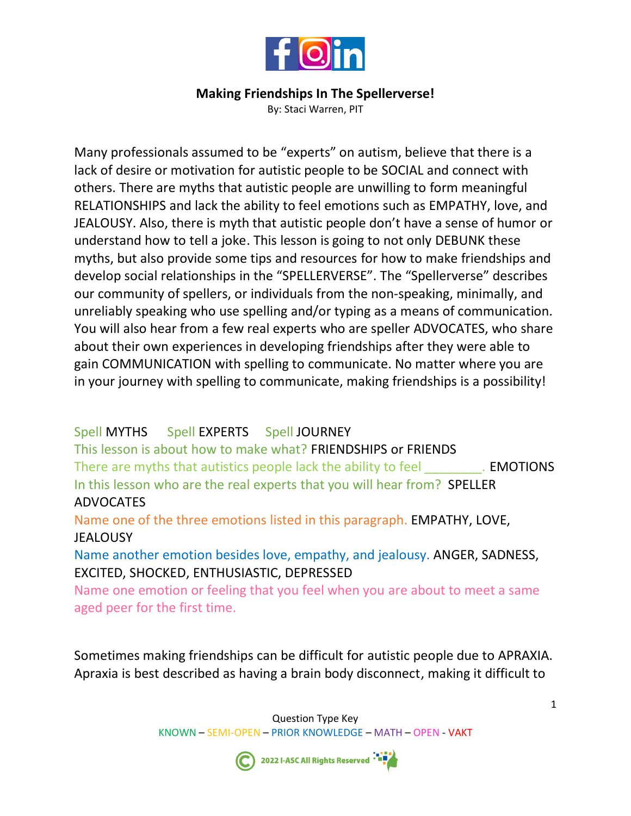

## **Making Friendships In The Spellerverse!**

By: Staci Warren, PIT

Many professionals assumed to be "experts" on autism, believe that there is a lack of desire or motivation for autistic people to be SOCIAL and connect with others. There are myths that autistic people are unwilling to form meaningful RELATIONSHIPS and lack the ability to feel emotions such as EMPATHY, love, and JEALOUSY. Also, there is myth that autistic people don't have a sense of humor or understand how to tell a joke. This lesson is going to not only DEBUNK these myths, but also provide some tips and resources for how to make friendships and develop social relationships in the "SPELLERVERSE". The "Spellerverse" describes our community of spellers, or individuals from the non-speaking, minimally, and unreliably speaking who use spelling and/or typing as a means of communication. You will also hear from a few real experts who are speller ADVOCATES, who share about their own experiences in developing friendships after they were able to gain COMMUNICATION with spelling to communicate. No matter where you are in your journey with spelling to communicate, making friendships is a possibility!

## Spell MYTHS Spell EXPERTS Spell JOURNEY

This lesson is about how to make what? FRIENDSHIPS or FRIENDS There are myths that autistics people lack the ability to feel **EMOTIONS** In this lesson who are the real experts that you will hear from? SPELLER ADVOCATES

Name one of the three emotions listed in this paragraph. EMPATHY, LOVE, **JEALOUSY** 

Name another emotion besides love, empathy, and jealousy. ANGER, SADNESS, EXCITED, SHOCKED, ENTHUSIASTIC, DEPRESSED

Name one emotion or feeling that you feel when you are about to meet a same aged peer for the first time.

Sometimes making friendships can be difficult for autistic people due to APRAXIA. Apraxia is best described as having a brain body disconnect, making it difficult to



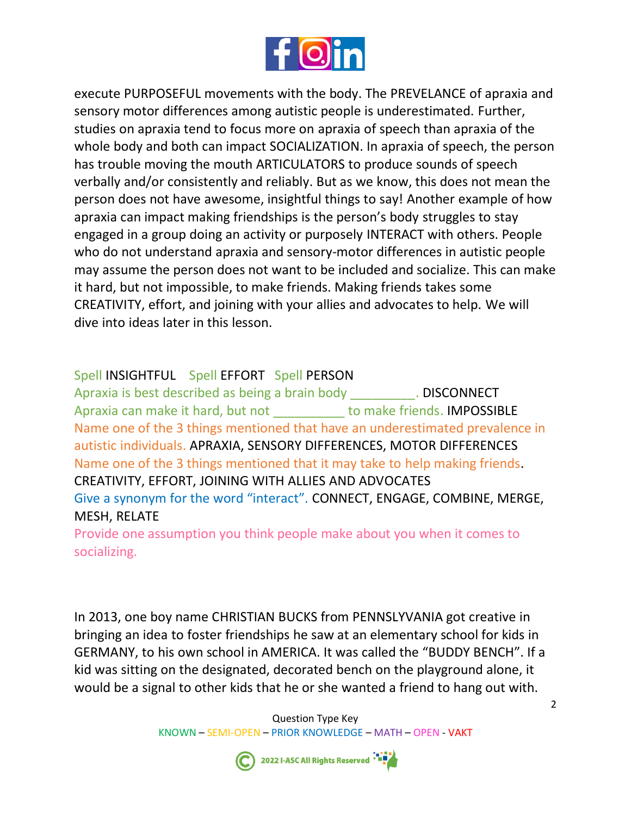

execute PURPOSEFUL movements with the body. The PREVELANCE of apraxia and sensory motor differences among autistic people is underestimated. Further, studies on apraxia tend to focus more on apraxia of speech than apraxia of the whole body and both can impact SOCIALIZATION. In apraxia of speech, the person has trouble moving the mouth ARTICULATORS to produce sounds of speech verbally and/or consistently and reliably. But as we know, this does not mean the person does not have awesome, insightful things to say! Another example of how apraxia can impact making friendships is the person's body struggles to stay engaged in a group doing an activity or purposely INTERACT with others. People who do not understand apraxia and sensory-motor differences in autistic people may assume the person does not want to be included and socialize. This can make it hard, but not impossible, to make friends. Making friends takes some CREATIVITY, effort, and joining with your allies and advocates to help. We will dive into ideas later in this lesson.

## Spell INSIGHTFUL Spell EFFORT Spell PERSON

Apraxia is best described as being a brain body **DISCONNECT** Apraxia can make it hard, but not to make friends. IMPOSSIBLE Name one of the 3 things mentioned that have an underestimated prevalence in autistic individuals. APRAXIA, SENSORY DIFFERENCES, MOTOR DIFFERENCES Name one of the 3 things mentioned that it may take to help making friends. CREATIVITY, EFFORT, JOINING WITH ALLIES AND ADVOCATES Give a synonym for the word "interact". CONNECT, ENGAGE, COMBINE, MERGE, MESH, RELATE

Provide one assumption you think people make about you when it comes to socializing.

In 2013, one boy name CHRISTIAN BUCKS from PENNSLYVANIA got creative in bringing an idea to foster friendships he saw at an elementary school for kids in GERMANY, to his own school in AMERICA. It was called the "BUDDY BENCH". If a kid was sitting on the designated, decorated bench on the playground alone, it would be a signal to other kids that he or she wanted a friend to hang out with.

> Question Type Key KNOWN – SEMI-OPEN – PRIOR KNOWLEDGE – MATH – OPEN - VAKT



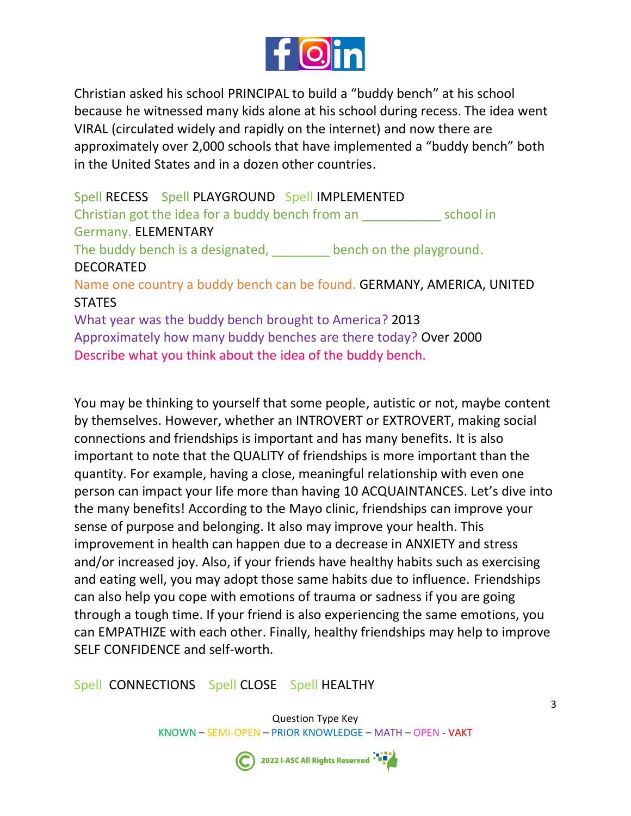

Christian asked his school PRINCIPAL to build a "buddy bench" at his school because he witnessed many kids alone at his school during recess. The idea went VIRAL (circulated widely and rapidly on the internet) and now there are approximately over 2,000 schools that have implemented a "buddy bench" both in the United States and in a dozen other countries.

Spell RECESS Spell PLAYGROUND Spell IMPLEMENTED Christian got the idea for a buddy bench from an school in Germany. ELEMENTARY The buddy bench is a designated, bench on the playground. DECORATED Name one country a buddy bench can be found. GERMANY, AMERICA, UNITED **STATES** What year was the buddy bench brought to America? 2013 Approximately how many buddy benches are there today? Over 2000

Describe what you think about the idea of the buddy bench.

You may be thinking to yourself that some people, autistic or not, maybe content by themselves. However, whether an INTROVERT or EXTROVERT, making social connections and friendships is important and has many benefits. It is also important to note that the QUALITY of friendships is more important than the quantity. For example, having a close, meaningful relationship with even one person can impact your life more than having 10 ACQUAINTANCES. Let's dive into the many benefits! According to the Mayo clinic, friendships can improve your sense of purpose and belonging. It also may improve your health. This improvement in health can happen due to a decrease in ANXIETY and stress and/or increased joy. Also, if your friends have healthy habits such as exercising and eating well, you may adopt those same habits due to influence. Friendships can also help you cope with emotions of trauma or sadness if you are going through a tough time. If your friend is also experiencing the same emotions, you can EMPATHIZE with each other. Finally, healthy friendships may help to improve SELF CONFIDENCE and self-worth.

Spell CONNECTIONS Spell CLOSE Spell HEALTHY

 Question Type Key KNOWN – SEMI-OPEN – PRIOR KNOWLEDGE – MATH – OPEN - VAKT



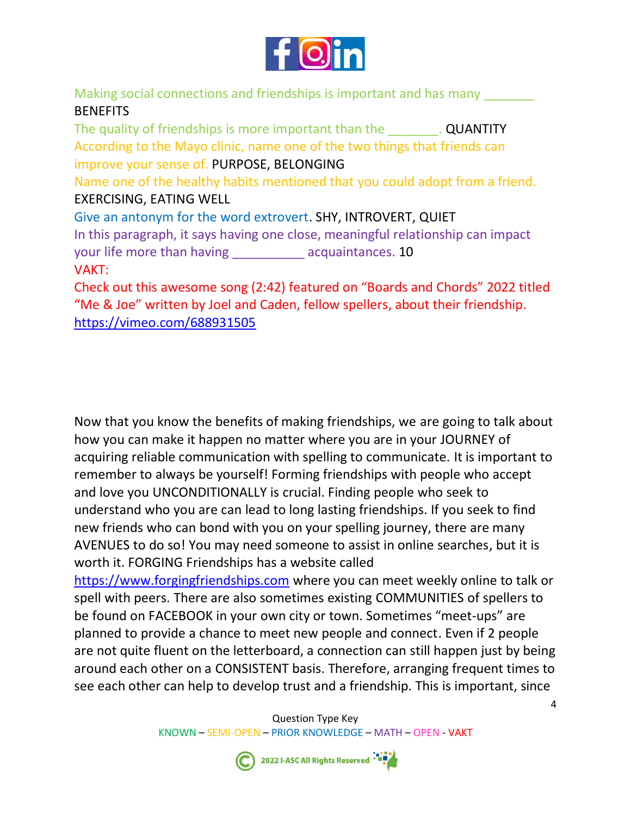

Making social connections and friendships is important and has many **BENEFITS** 

The quality of friendships is more important than the **QUANTITY** According to the Mayo clinic, name one of the two things that friends can improve your sense of. PURPOSE, BELONGING Name one of the healthy habits mentioned that you could adopt from a friend. EXERCISING, EATING WELL Give an antonym for the word extrovert. SHY, INTROVERT, QUIET In this paragraph, it says having one close, meaningful relationship can impact your life more than having \_\_\_\_\_\_\_\_\_ acquaintances. 10 VAKT: Check out this awesome song (2:42) featured on "Boards and Chords" 2022 titled

"Me & Joe" written by Joel and Caden, fellow spellers, about their friendship. <https://vimeo.com/688931505>

Now that you know the benefits of making friendships, we are going to talk about how you can make it happen no matter where you are in your JOURNEY of acquiring reliable communication with spelling to communicate. It is important to remember to always be yourself! Forming friendships with people who accept and love you UNCONDITIONALLY is crucial. Finding people who seek to understand who you are can lead to long lasting friendships. If you seek to find new friends who can bond with you on your spelling journey, there are many AVENUES to do so! You may need someone to assist in online searches, but it is worth it. FORGING Friendships has a website called

[https://www.forgingfriendships.com](https://www.forgingfriendships.com/) where you can meet weekly online to talk or spell with peers. There are also sometimes existing COMMUNITIES of spellers to be found on FACEBOOK in your own city or town. Sometimes "meet-ups" are planned to provide a chance to meet new people and connect. Even if 2 people are not quite fluent on the letterboard, a connection can still happen just by being around each other on a CONSISTENT basis. Therefore, arranging frequent times to see each other can help to develop trust and a friendship. This is important, since





4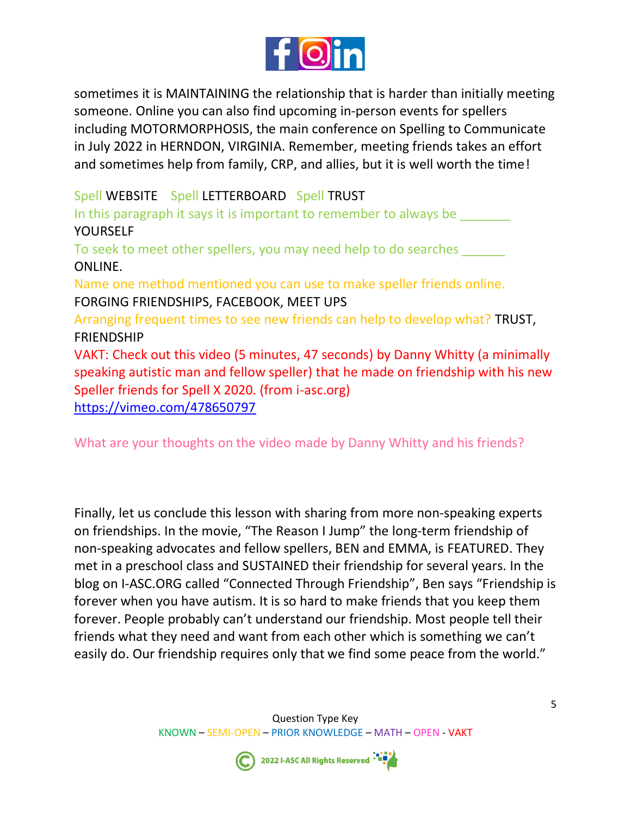

sometimes it is MAINTAINING the relationship that is harder than initially meeting someone. Online you can also find upcoming in-person events for spellers including MOTORMORPHOSIS, the main conference on Spelling to Communicate in July 2022 in HERNDON, VIRGINIA. Remember, meeting friends takes an effort and sometimes help from family, CRP, and allies, but it is well worth the time!

Spell WEBSITE Spell LETTERBOARD Spell TRUST In this paragraph it says it is important to remember to always be YOURSELF To seek to meet other spellers, you may need help to do searches ONLINE. Name one method mentioned you can use to make speller friends online. FORGING FRIENDSHIPS, FACEBOOK, MEET UPS Arranging frequent times to see new friends can help to develop what? TRUST, FRIENDSHIP VAKT: Check out this video (5 minutes, 47 seconds) by Danny Whitty (a minimally speaking autistic man and fellow speller) that he made on friendship with his new Speller friends for Spell X 2020. (from i-asc.org) <https://vimeo.com/478650797>

What are your thoughts on the video made by Danny Whitty and his friends?

Finally, let us conclude this lesson with sharing from more non-speaking experts on friendships. In the movie, "The Reason I Jump" the long-term friendship of non-speaking advocates and fellow spellers, BEN and EMMA, is FEATURED. They met in a preschool class and SUSTAINED their friendship for several years. In the blog on I-ASC.ORG called "Connected Through Friendship", Ben says "Friendship is forever when you have autism. It is so hard to make friends that you keep them forever. People probably can't understand our friendship. Most people tell their friends what they need and want from each other which is something we can't easily do. Our friendship requires only that we find some peace from the world."

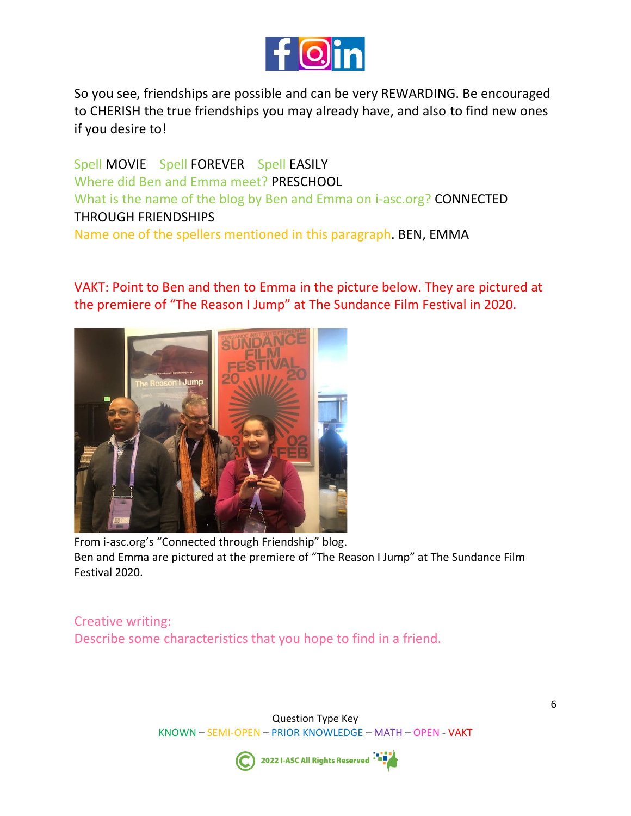

So you see, friendships are possible and can be very REWARDING. Be encouraged to CHERISH the true friendships you may already have, and also to find new ones if you desire to!

Spell MOVIE Spell FOREVER Spell EASILY Where did Ben and Emma meet? PRESCHOOL What is the name of the blog by Ben and Emma on i-asc.org? CONNECTED THROUGH FRIENDSHIPS Name one of the spellers mentioned in this paragraph. BEN, EMMA

VAKT: Point to Ben and then to Emma in the picture below. They are pictured at the premiere of "The Reason I Jump" at The Sundance Film Festival in 2020.



From i-asc.org's "Connected through Friendship" blog. Ben and Emma are pictured at the premiere of "The Reason I Jump" at The Sundance Film Festival 2020.

Creative writing: Describe some characteristics that you hope to find in a friend.

> Question Type Key KNOWN – SEMI-OPEN – PRIOR KNOWLEDGE – MATH – OPEN - VAKT